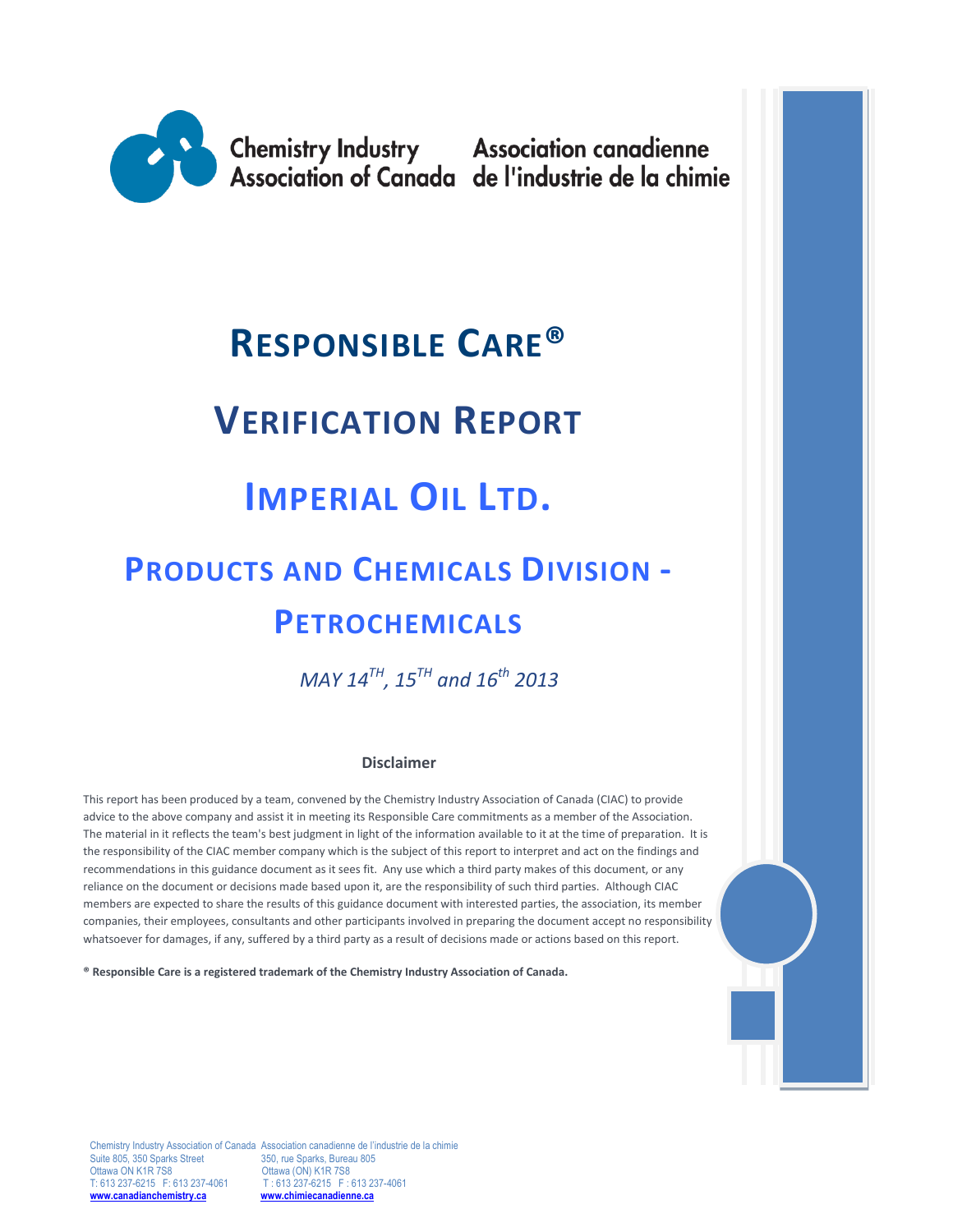

**Chemistry Industry Association canadienne<br>Association of Canada de l'industrie de la chimie** 

# **RESPONSIBLE CARE®**

# **VERIFICATION REPORT**

# **IMPERIAL OIL LTD.**

# **PRODUCTS AND CHEMICALS DIVISION - PETROCHEMICALS**

 *MAY 14TH, 15TH and 16th 2013*

#### **Disclaimer**

This report has been produced by a team, convened by the Chemistry Industry Association of Canada (CIAC) to provide advice to the above company and assist it in meeting its Responsible Care commitments as a member of the Association. The material in it reflects the team's best judgment in light of the information available to it at the time of preparation. It is the responsibility of the CIAC member company which is the subject of this report to interpret and act on the findings and recommendations in this guidance document as it sees fit. Any use which a third party makes of this document, or any reliance on the document or decisions made based upon it, are the responsibility of such third parties. Although CIAC members are expected to share the results of this guidance document with interested parties, the association, its member companies, their employees, consultants and other participants involved in preparing the document accept no responsibility whatsoever for damages, if any, suffered by a third party as a result of decisions made or actions based on this report.

**® Responsible Care is a registered trademark of the Chemistry Industry Association of Canada.** 

Chemistry Industry Association of Canada Association canadienne de l'industrie de la chimie<br>
Suite 805, 350 Sparks Street<br>
100 350, rue Sparks, Bureau 805 Suite 805, 350 Sparks Street<br>Ottawa ON K1R 7S8 Ottawa ON K1R 7S8 Ottawa (ON) K1R 7S8<br>T: 613 237-6215 F: 613 237-4061 T: 613 237-6215 F: 1 T: 613 237-6215 F: 613 237-4061<br>www.chimiecanadienne.ca **[www.canadianchemistry.ca](http://www.canadianchemistry.ca/) [www.chimiecanadienne.ca](http://www.chimiecanadienne.ca/)**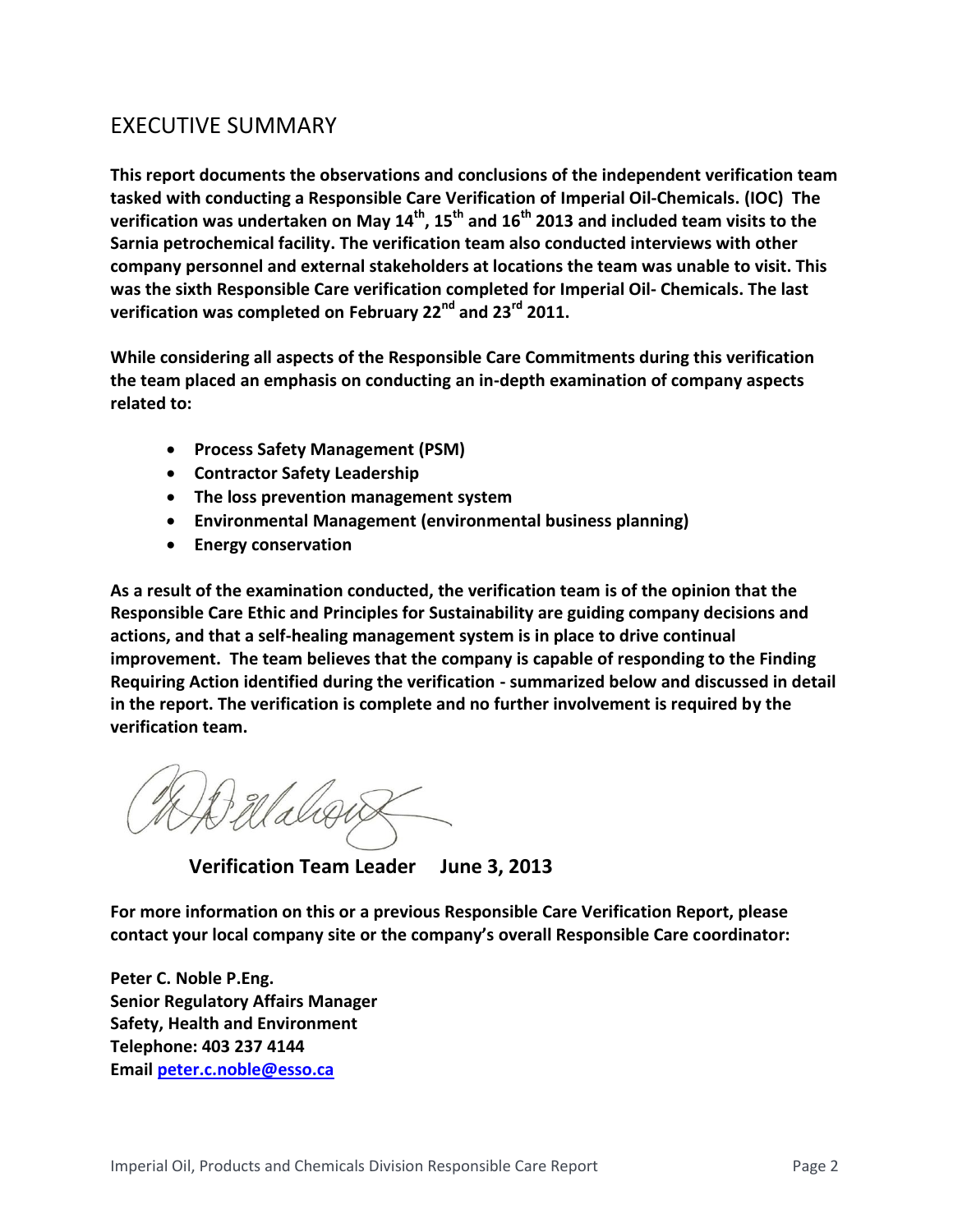## EXECUTIVE SUMMARY

**This report documents the observations and conclusions of the independent verification team tasked with conducting a Responsible Care Verification of Imperial Oil-Chemicals. (IOC) The verification was undertaken on May 14th, 15th and 16th 2013 and included team visits to the Sarnia petrochemical facility. The verification team also conducted interviews with other company personnel and external stakeholders at locations the team was unable to visit. This was the sixth Responsible Care verification completed for Imperial Oil- Chemicals. The last verification was completed on February 22nd and 23rd 2011.**

**While considering all aspects of the Responsible Care Commitments during this verification the team placed an emphasis on conducting an in-depth examination of company aspects related to:**

- **Process Safety Management (PSM)**
- **Contractor Safety Leadership**
- **The loss prevention management system**
- **Environmental Management (environmental business planning)**
- **Energy conservation**

**As a result of the examination conducted, the verification team is of the opinion that the Responsible Care Ethic and Principles for Sustainability are guiding company decisions and actions, and that a self-healing management system is in place to drive continual improvement. The team believes that the company is capable of responding to the Finding Requiring Action identified during the verification - summarized below and discussed in detail in the report. The verification is complete and no further involvement is required by the verification team.** 

 **Verification Team Leader June 3, 2013**

**For more information on this or a previous Responsible Care Verification Report, please contact your local company site or the company's overall Responsible Care coordinator:**

**Peter C. Noble P.Eng. Senior Regulatory Affairs Manager Safety, Health and Environment Telephone: 403 237 4144 Email [peter.c.noble@esso.ca](mailto:peter.c.noble@esso.ca)**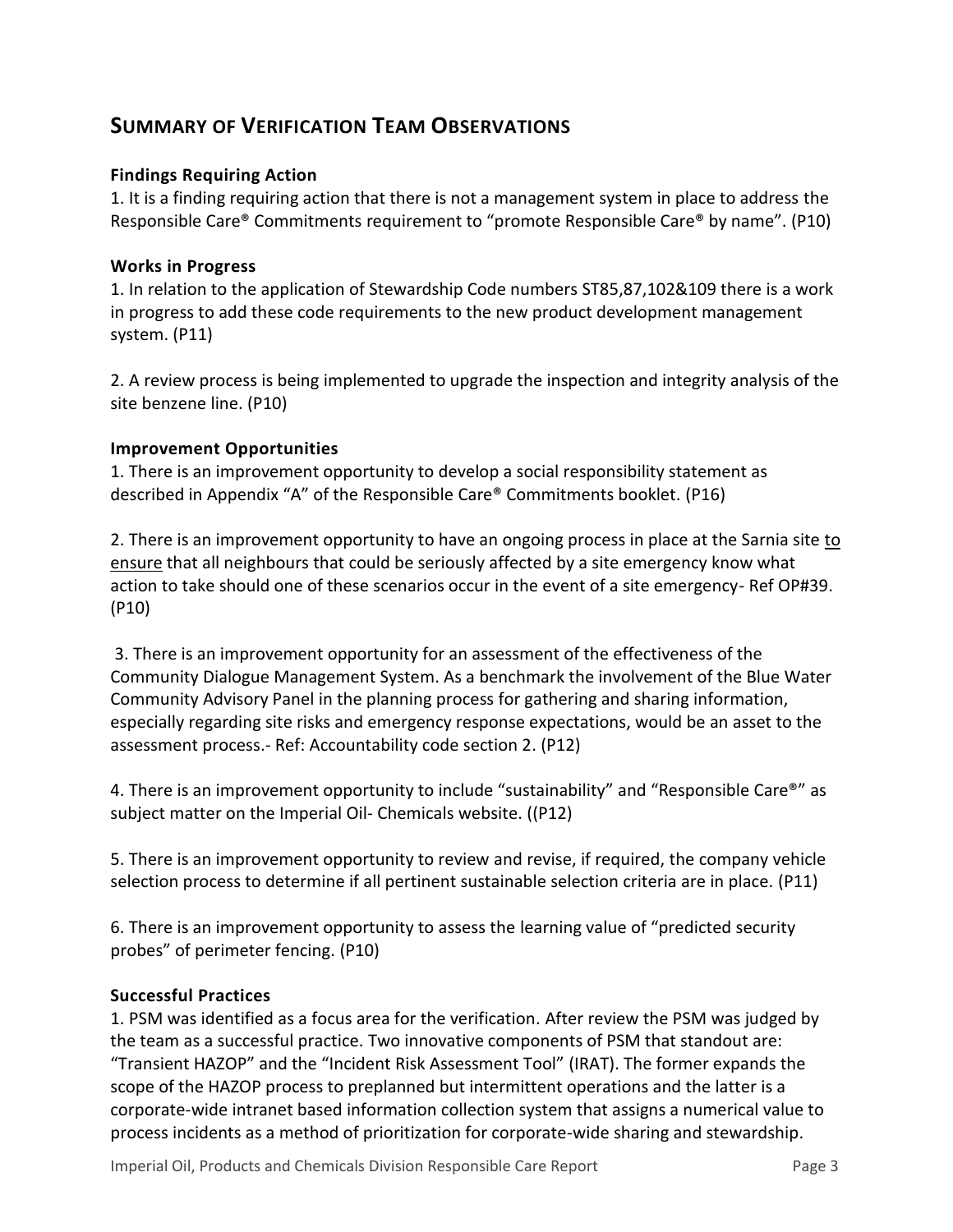### **SUMMARY OF VERIFICATION TEAM OBSERVATIONS**

#### **Findings Requiring Action**

1. It is a finding requiring action that there is not a management system in place to address the Responsible Care® Commitments requirement to "promote Responsible Care® by name". (P10)

#### **Works in Progress**

1. In relation to the application of Stewardship Code numbers ST85,87,102&109 there is a work in progress to add these code requirements to the new product development management system. (P11)

2. A review process is being implemented to upgrade the inspection and integrity analysis of the site benzene line. (P10)

#### **Improvement Opportunities**

1. There is an improvement opportunity to develop a social responsibility statement as described in Appendix "A" of the Responsible Care® Commitments booklet. (P16)

2. There is an improvement opportunity to have an ongoing process in place at the Sarnia site to ensure that all neighbours that could be seriously affected by a site emergency know what action to take should one of these scenarios occur in the event of a site emergency- Ref OP#39. (P10)

3. There is an improvement opportunity for an assessment of the effectiveness of the Community Dialogue Management System. As a benchmark the involvement of the Blue Water Community Advisory Panel in the planning process for gathering and sharing information, especially regarding site risks and emergency response expectations, would be an asset to the assessment process.- Ref: Accountability code section 2. (P12)

4. There is an improvement opportunity to include "sustainability" and "Responsible Care<sup>®</sup>" as subject matter on the Imperial Oil- Chemicals website. ((P12)

5. There is an improvement opportunity to review and revise, if required, the company vehicle selection process to determine if all pertinent sustainable selection criteria are in place. (P11)

6. There is an improvement opportunity to assess the learning value of "predicted security probes" of perimeter fencing. (P10)

#### **Successful Practices**

1. PSM was identified as a focus area for the verification. After review the PSM was judged by the team as a successful practice. Two innovative components of PSM that standout are: "Transient HAZOP" and the "Incident Risk Assessment Tool" (IRAT). The former expands the scope of the HAZOP process to preplanned but intermittent operations and the latter is a corporate-wide intranet based information collection system that assigns a numerical value to process incidents as a method of prioritization for corporate-wide sharing and stewardship.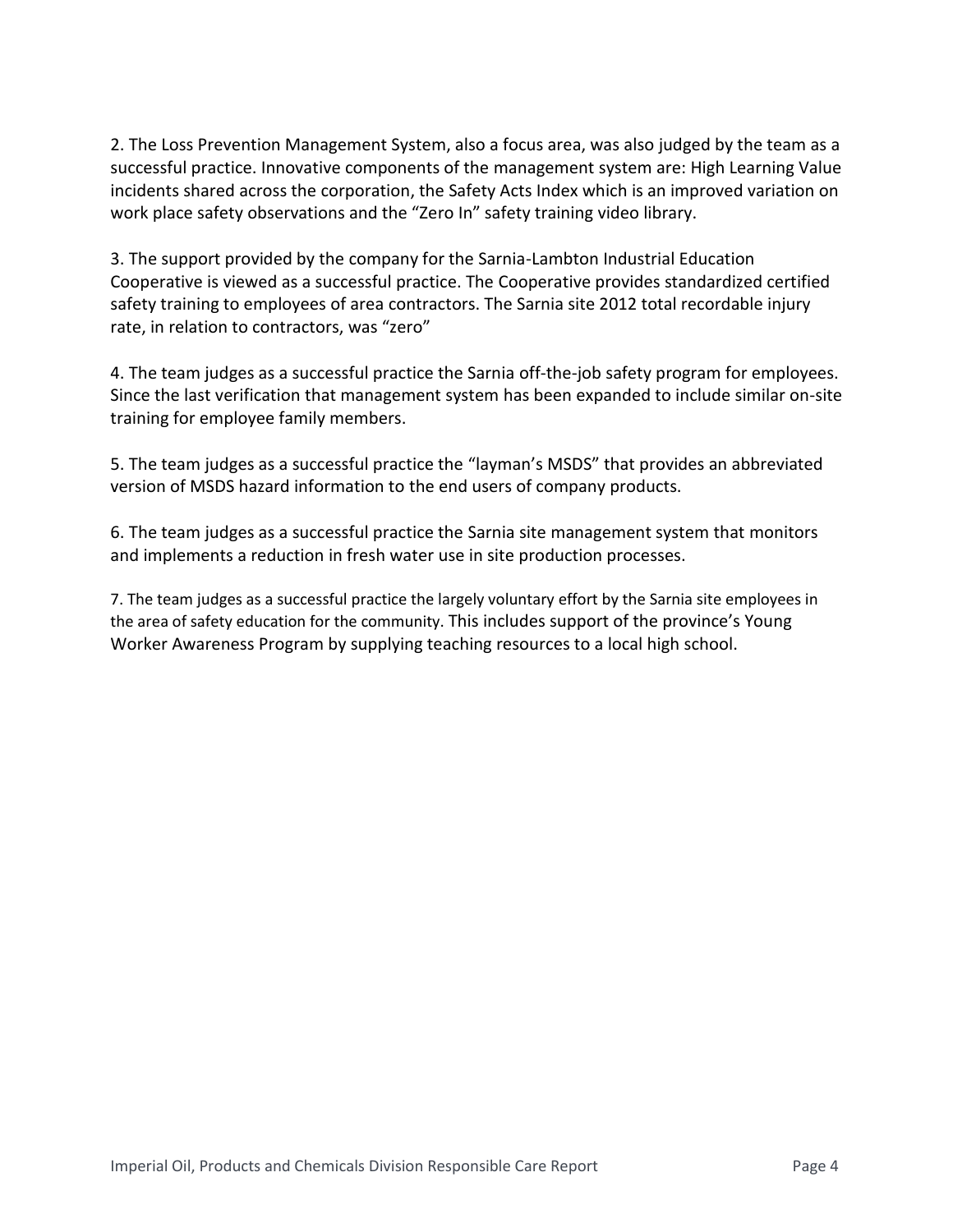2. The Loss Prevention Management System, also a focus area, was also judged by the team as a successful practice. Innovative components of the management system are: High Learning Value incidents shared across the corporation, the Safety Acts Index which is an improved variation on work place safety observations and the "Zero In" safety training video library.

3. The support provided by the company for the Sarnia-Lambton Industrial Education Cooperative is viewed as a successful practice. The Cooperative provides standardized certified safety training to employees of area contractors. The Sarnia site 2012 total recordable injury rate, in relation to contractors, was "zero"

4. The team judges as a successful practice the Sarnia off-the-job safety program for employees. Since the last verification that management system has been expanded to include similar on-site training for employee family members.

5. The team judges as a successful practice the "layman's MSDS" that provides an abbreviated version of MSDS hazard information to the end users of company products.

6. The team judges as a successful practice the Sarnia site management system that monitors and implements a reduction in fresh water use in site production processes.

7. The team judges as a successful practice the largely voluntary effort by the Sarnia site employees in the area of safety education for the community. This includes support of the province's Young Worker Awareness Program by supplying teaching resources to a local high school.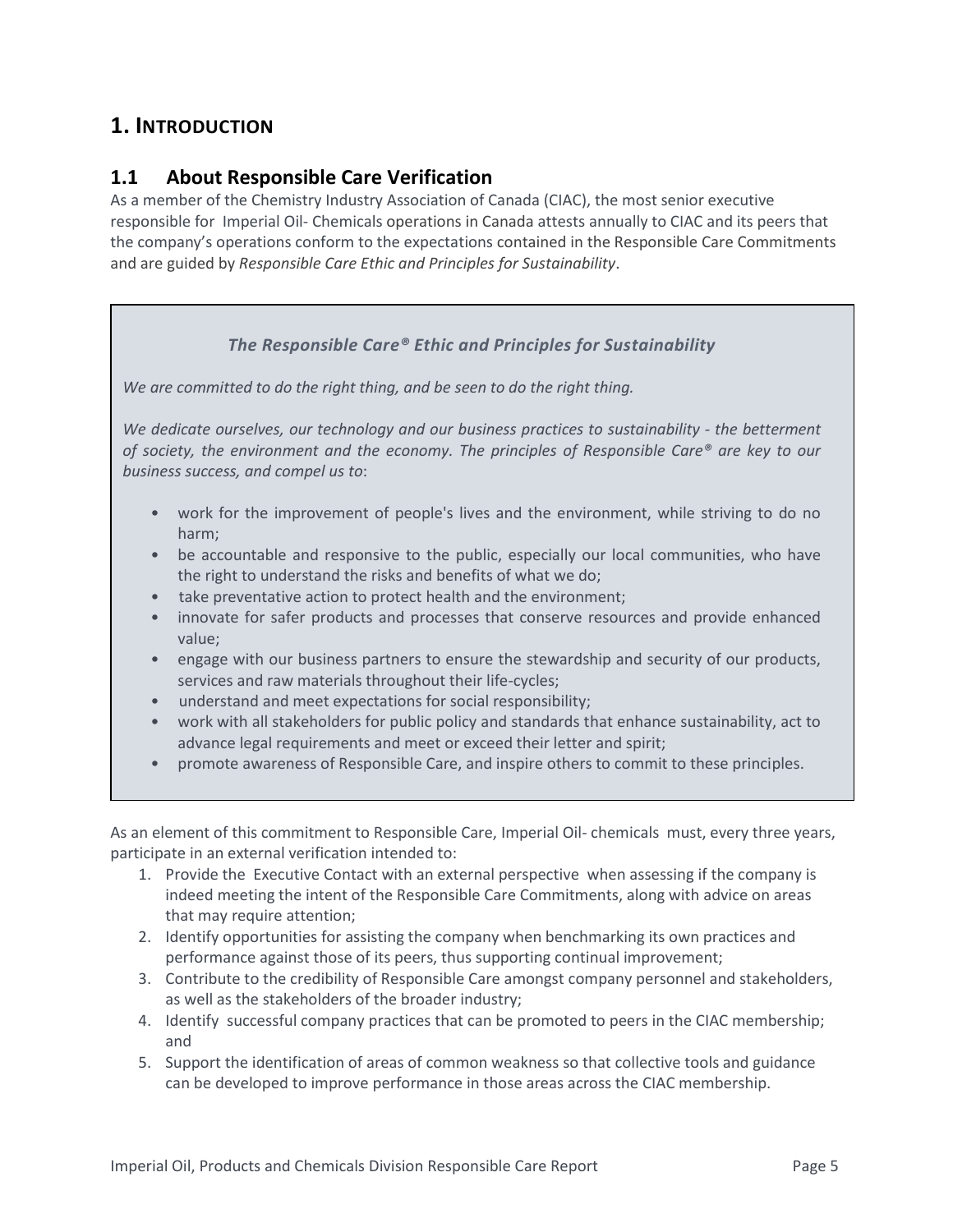## **1. INTRODUCTION**

#### **1.1 About Responsible Care Verification**

As a member of the Chemistry Industry Association of Canada (CIAC), the most senior executive responsible for Imperial Oil- Chemicals operations in Canada attests annually to CIAC and its peers that the company's operations conform to the expectations contained in the Responsible Care Commitments and are guided by *Responsible Care Ethic and Principles for Sustainability*.

#### *The Responsible Care® Ethic and Principles for Sustainability*

*We are committed to do the right thing, and be seen to do the right thing.*

*We dedicate ourselves, our technology and our business practices to sustainability - the betterment of society, the environment and the economy. The principles of Responsible Care® are key to our business success, and compel us to*:

- work for the improvement of people's lives and the environment, while striving to do no harm;
- be accountable and responsive to the public, especially our local communities, who have the right to understand the risks and benefits of what we do;
- take preventative action to protect health and the environment;
- innovate for safer products and processes that conserve resources and provide enhanced value;
- engage with our business partners to ensure the stewardship and security of our products, services and raw materials throughout their life-cycles;
- understand and meet expectations for social responsibility;
- work with all stakeholders for public policy and standards that enhance sustainability, act to advance legal requirements and meet or exceed their letter and spirit;
- promote awareness of Responsible Care, and inspire others to commit to these principles.

As an element of this commitment to Responsible Care, Imperial Oil- chemicals must, every three years, participate in an external verification intended to:

- 1. Provide the Executive Contact with an external perspective when assessing if the company is indeed meeting the intent of the Responsible Care Commitments, along with advice on areas that may require attention;
- 2. Identify opportunities for assisting the company when benchmarking its own practices and performance against those of its peers, thus supporting continual improvement;
- 3. Contribute to the credibility of Responsible Care amongst company personnel and stakeholders, as well as the stakeholders of the broader industry;
- 4. Identify successful company practices that can be promoted to peers in the CIAC membership; and
- 5. Support the identification of areas of common weakness so that collective tools and guidance can be developed to improve performance in those areas across the CIAC membership.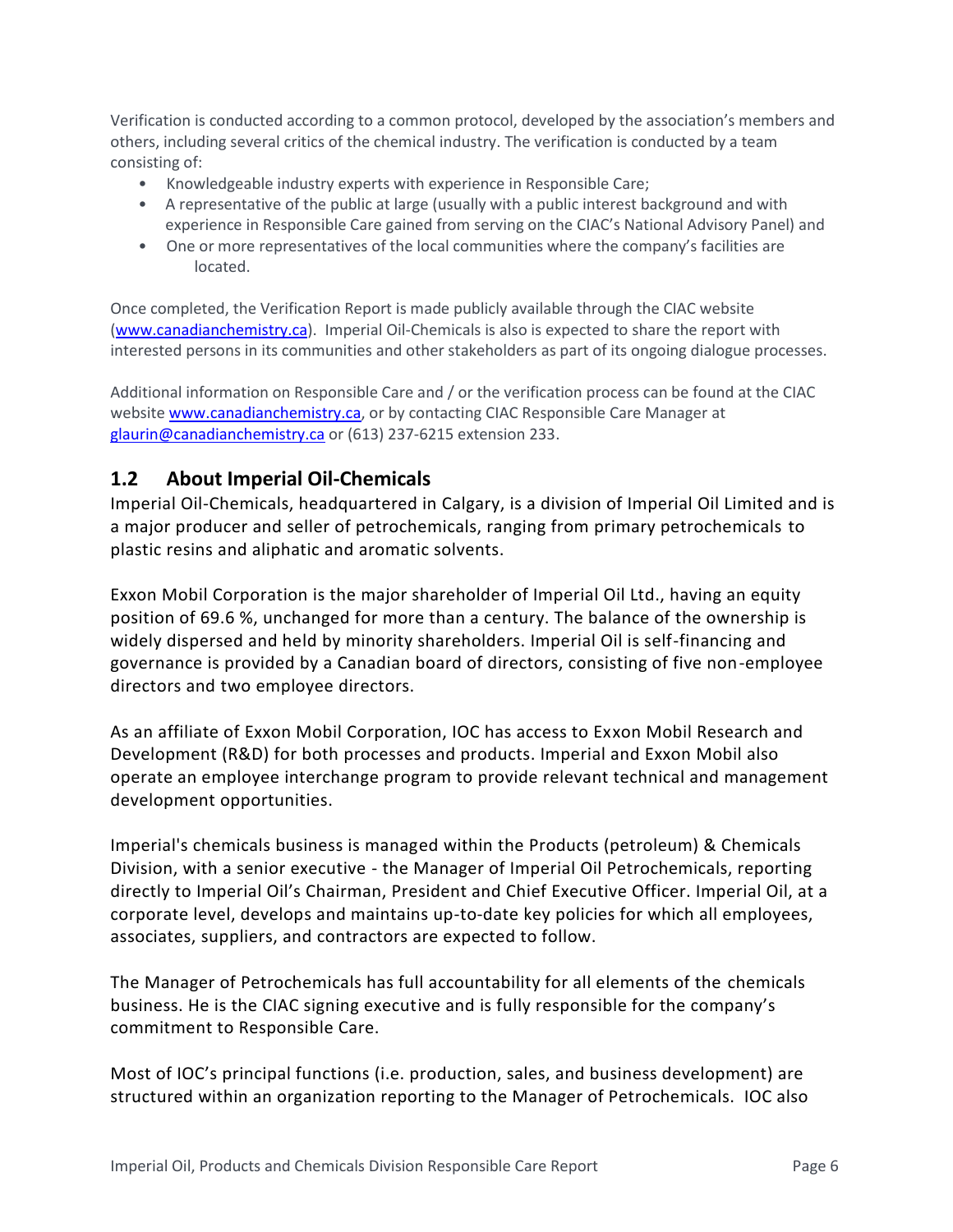Verification is conducted according to a common protocol, developed by the association's members and others, including several critics of the chemical industry. The verification is conducted by a team consisting of:

- Knowledgeable industry experts with experience in Responsible Care;
- A representative of the public at large (usually with a public interest background and with experience in Responsible Care gained from serving on the CIAC's National Advisory Panel) and
- One or more representatives of the local communities where the company's facilities are located.

Once completed, the Verification Report is made publicly available through the CIAC website [\(www.canadianchemistry.ca\)](http://www.canadianchemistry.ca/). Imperial Oil-Chemicals is also is expected to share the report with interested persons in its communities and other stakeholders as part of its ongoing dialogue processes.

Additional information on Responsible Care and / or the verification process can be found at the CIAC website [www.canadianchemistry.ca,](http://www.canadianchemistry.ca/) or by contacting CIAC Responsible Care Manager at [glaurin@canadianchemistry.ca](mailto:glaurin@canadianchemistry.ca) or (613) 237-6215 extension 233.

#### **1.2 About Imperial Oil-Chemicals**

Imperial Oil-Chemicals, headquartered in Calgary, is a division of Imperial Oil Limited and is a major producer and seller of petrochemicals, ranging from primary petrochemicals to plastic resins and aliphatic and aromatic solvents.

Exxon Mobil Corporation is the major shareholder of Imperial Oil Ltd., having an equity position of 69.6 %, unchanged for more than a century. The balance of the ownership is widely dispersed and held by minority shareholders. Imperial Oil is self-financing and governance is provided by a Canadian board of directors, consisting of five non-employee directors and two employee directors.

As an affiliate of Exxon Mobil Corporation, IOC has access to Exxon Mobil Research and Development (R&D) for both processes and products. Imperial and Exxon Mobil also operate an employee interchange program to provide relevant technical and management development opportunities.

Imperial's chemicals business is managed within the Products (petroleum) & Chemicals Division, with a senior executive - the Manager of Imperial Oil Petrochemicals, reporting directly to Imperial Oil's Chairman, President and Chief Executive Officer. Imperial Oil, at a corporate level, develops and maintains up-to-date key policies for which all employees, associates, suppliers, and contractors are expected to follow.

The Manager of Petrochemicals has full accountability for all elements of the chemicals business. He is the CIAC signing executive and is fully responsible for the company's commitment to Responsible Care.

Most of IOC's principal functions (i.e. production, sales, and business development) are structured within an organization reporting to the Manager of Petrochemicals. IOC also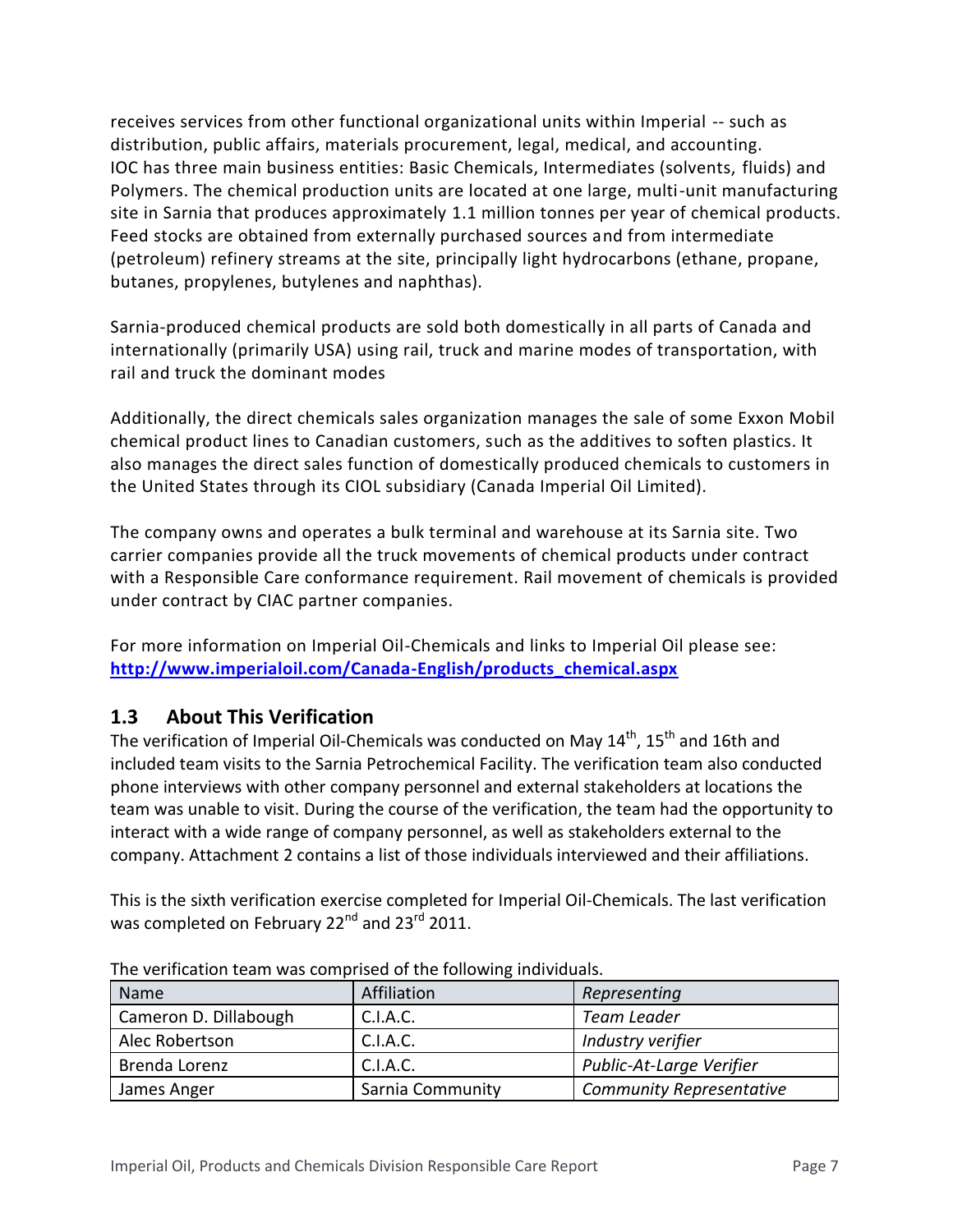receives services from other functional organizational units within Imperial -- such as distribution, public affairs, materials procurement, legal, medical, and accounting. IOC has three main business entities: Basic Chemicals, Intermediates (solvents, fluids) and Polymers. The chemical production units are located at one large, multi-unit manufacturing site in Sarnia that produces approximately 1.1 million tonnes per year of chemical products. Feed stocks are obtained from externally purchased sources and from intermediate (petroleum) refinery streams at the site, principally light hydrocarbons (ethane, propane, butanes, propylenes, butylenes and naphthas).

Sarnia-produced chemical products are sold both domestically in all parts of Canada and internationally (primarily USA) using rail, truck and marine modes of transportation, with rail and truck the dominant modes

Additionally, the direct chemicals sales organization manages the sale of some Exxon Mobil chemical product lines to Canadian customers, such as the additives to soften plastics. It also manages the direct sales function of domestically produced chemicals to customers in the United States through its CIOL subsidiary (Canada Imperial Oil Limited).

The company owns and operates a bulk terminal and warehouse at its Sarnia site. Two carrier companies provide all the truck movements of chemical products under contract with a Responsible Care conformance requirement. Rail movement of chemicals is provided under contract by CIAC partner companies.

For more information on Imperial Oil-Chemicals and links to Imperial Oil please see: **[http://www.imperialoil.com/Canada-English/products\\_chemical.aspx](http://www.imperialoil.com/Canada-English/products_chemical.aspx)**

#### **1.3 About This Verification**

The verification of Imperial Oil-Chemicals was conducted on May  $14<sup>th</sup>$ ,  $15<sup>th</sup>$  and 16th and included team visits to the Sarnia Petrochemical Facility. The verification team also conducted phone interviews with other company personnel and external stakeholders at locations the team was unable to visit. During the course of the verification, the team had the opportunity to interact with a wide range of company personnel, as well as stakeholders external to the company. Attachment 2 contains a list of those individuals interviewed and their affiliations.

This is the sixth verification exercise completed for Imperial Oil-Chemicals. The last verification was completed on February 22<sup>nd</sup> and 23<sup>rd</sup> 2011.

| <b>Name</b>           | Affiliation      | Representing                    |
|-----------------------|------------------|---------------------------------|
| Cameron D. Dillabough | C.I.A.C.         | <b>Team Leader</b>              |
| Alec Robertson        | C.I.A.C.         | Industry verifier               |
| Brenda Lorenz         | C.I.A.C.         | Public-At-Large Verifier        |
| James Anger           | Sarnia Community | <b>Community Representative</b> |

The verification team was comprised of the following individuals.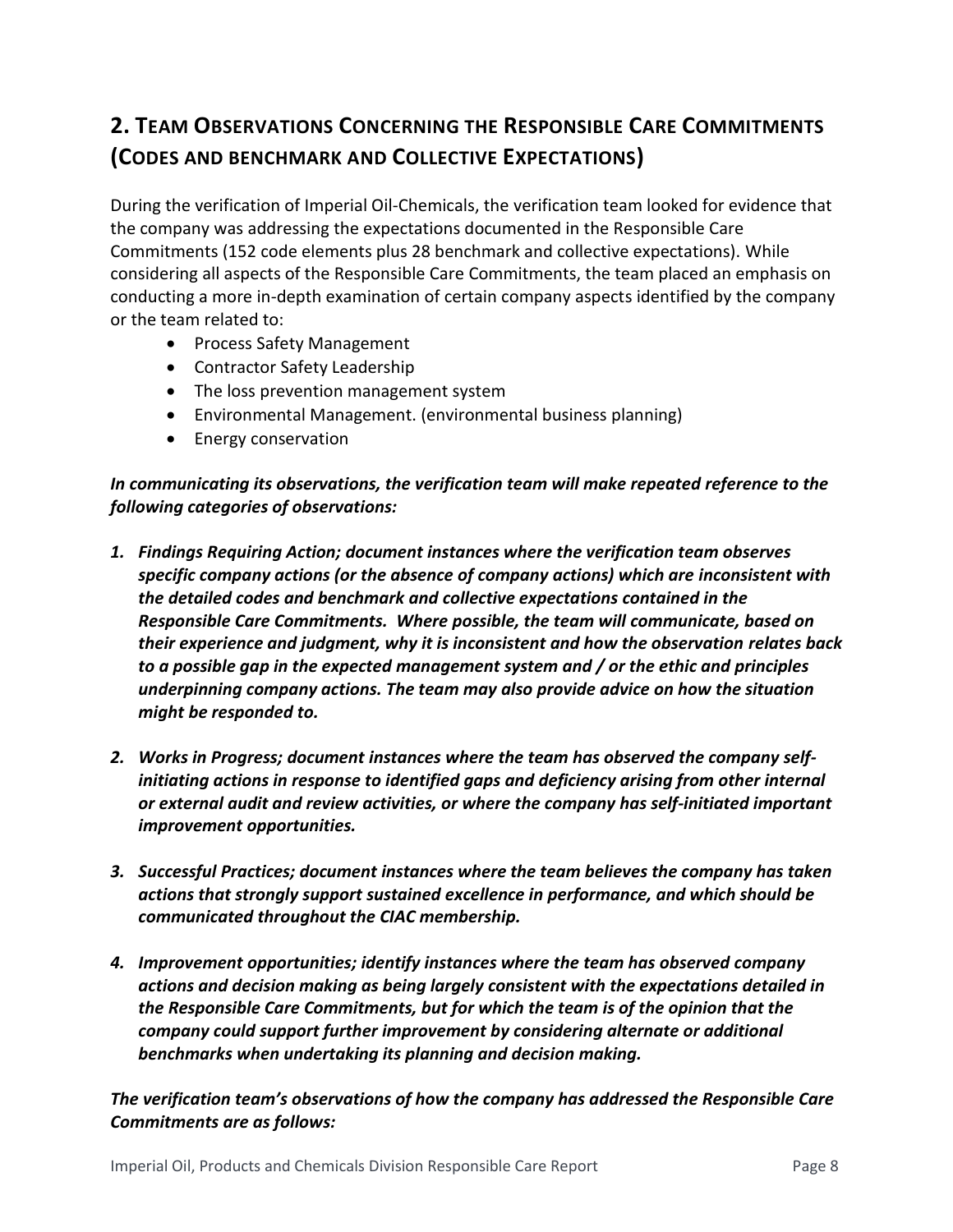# **2. TEAM OBSERVATIONS CONCERNING THE RESPONSIBLE CARE COMMITMENTS (CODES AND BENCHMARK AND COLLECTIVE EXPECTATIONS)**

During the verification of Imperial Oil-Chemicals, the verification team looked for evidence that the company was addressing the expectations documented in the Responsible Care Commitments (152 code elements plus 28 benchmark and collective expectations). While considering all aspects of the Responsible Care Commitments, the team placed an emphasis on conducting a more in-depth examination of certain company aspects identified by the company or the team related to:

- Process Safety Management
- Contractor Safety Leadership
- The loss prevention management system
- Environmental Management. (environmental business planning)
- Energy conservation

#### *In communicating its observations, the verification team will make repeated reference to the following categories of observations:*

- *1. Findings Requiring Action; document instances where the verification team observes specific company actions (or the absence of company actions) which are inconsistent with the detailed codes and benchmark and collective expectations contained in the Responsible Care Commitments. Where possible, the team will communicate, based on their experience and judgment, why it is inconsistent and how the observation relates back to a possible gap in the expected management system and / or the ethic and principles underpinning company actions. The team may also provide advice on how the situation might be responded to.*
- *2. Works in Progress; document instances where the team has observed the company selfinitiating actions in response to identified gaps and deficiency arising from other internal or external audit and review activities, or where the company has self-initiated important improvement opportunities.*
- *3. Successful Practices; document instances where the team believes the company has taken actions that strongly support sustained excellence in performance, and which should be communicated throughout the CIAC membership.*
- *4. Improvement opportunities; identify instances where the team has observed company actions and decision making as being largely consistent with the expectations detailed in the Responsible Care Commitments, but for which the team is of the opinion that the company could support further improvement by considering alternate or additional benchmarks when undertaking its planning and decision making.*

*The verification team's observations of how the company has addressed the Responsible Care Commitments are as follows:*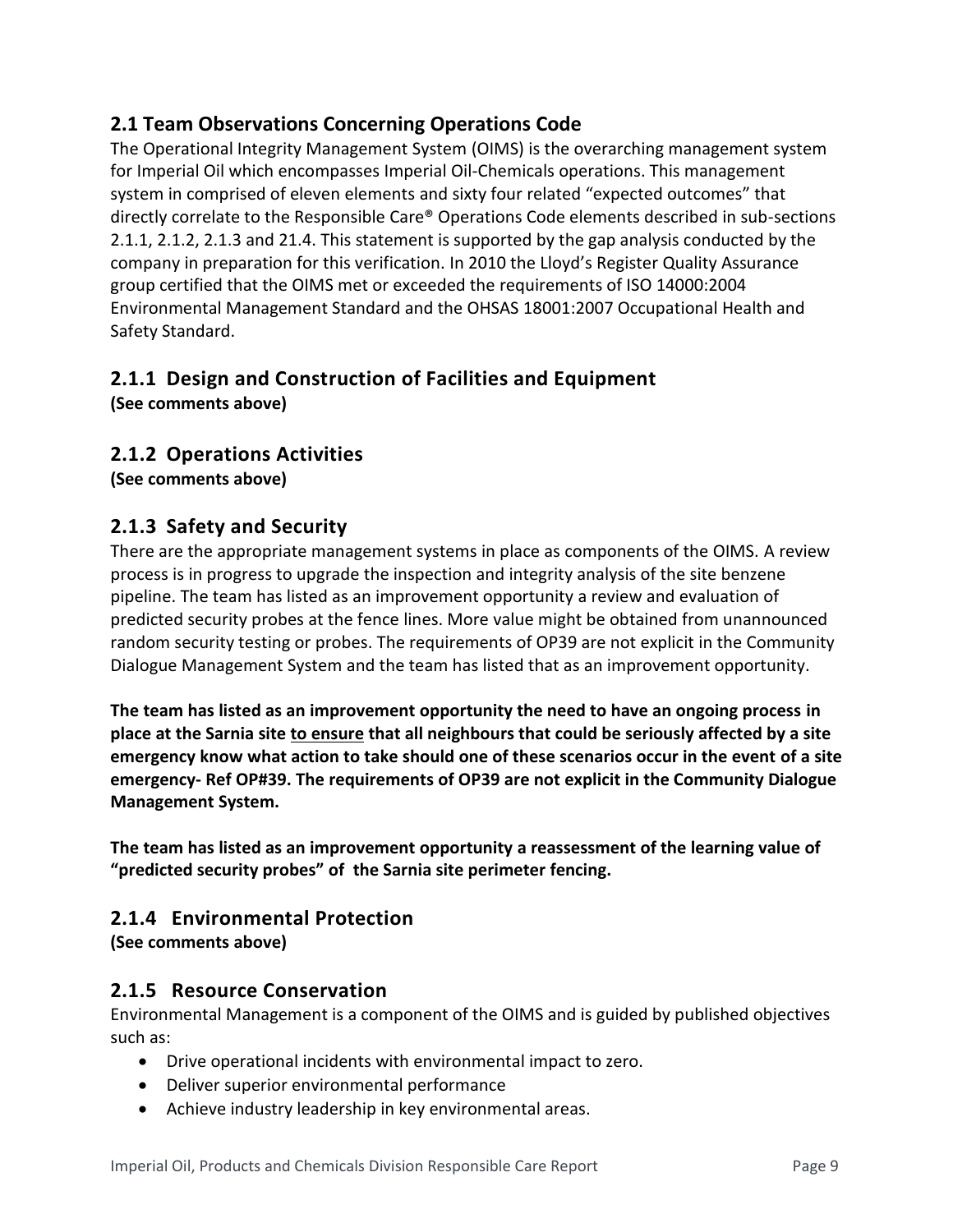#### **2.1 Team Observations Concerning Operations Code**

The Operational Integrity Management System (OIMS) is the overarching management system for Imperial Oil which encompasses Imperial Oil-Chemicals operations. This management system in comprised of eleven elements and sixty four related "expected outcomes" that directly correlate to the Responsible Care® Operations Code elements described in sub-sections 2.1.1, 2.1.2, 2.1.3 and 21.4. This statement is supported by the gap analysis conducted by the company in preparation for this verification. In 2010 the Lloyd's Register Quality Assurance group certified that the OIMS met or exceeded the requirements of ISO 14000:2004 Environmental Management Standard and the OHSAS 18001:2007 Occupational Health and Safety Standard.

## **2.1.1 Design and Construction of Facilities and Equipment**

**(See comments above)**

#### **2.1.2 Operations Activities**

**(See comments above)**

#### **2.1.3 Safety and Security**

There are the appropriate management systems in place as components of the OIMS. A review process is in progress to upgrade the inspection and integrity analysis of the site benzene pipeline. The team has listed as an improvement opportunity a review and evaluation of predicted security probes at the fence lines. More value might be obtained from unannounced random security testing or probes. The requirements of OP39 are not explicit in the Community Dialogue Management System and the team has listed that as an improvement opportunity.

**The team has listed as an improvement opportunity the need to have an ongoing process in place at the Sarnia site to ensure that all neighbours that could be seriously affected by a site emergency know what action to take should one of these scenarios occur in the event of a site emergency- Ref OP#39. The requirements of OP39 are not explicit in the Community Dialogue Management System.**

**The team has listed as an improvement opportunity a reassessment of the learning value of "predicted security probes" of the Sarnia site perimeter fencing.** 

#### **2.1.4 Environmental Protection**

**(See comments above)**

#### **2.1.5 Resource Conservation**

Environmental Management is a component of the OIMS and is guided by published objectives such as:

- Drive operational incidents with environmental impact to zero.
- Deliver superior environmental performance
- Achieve industry leadership in key environmental areas.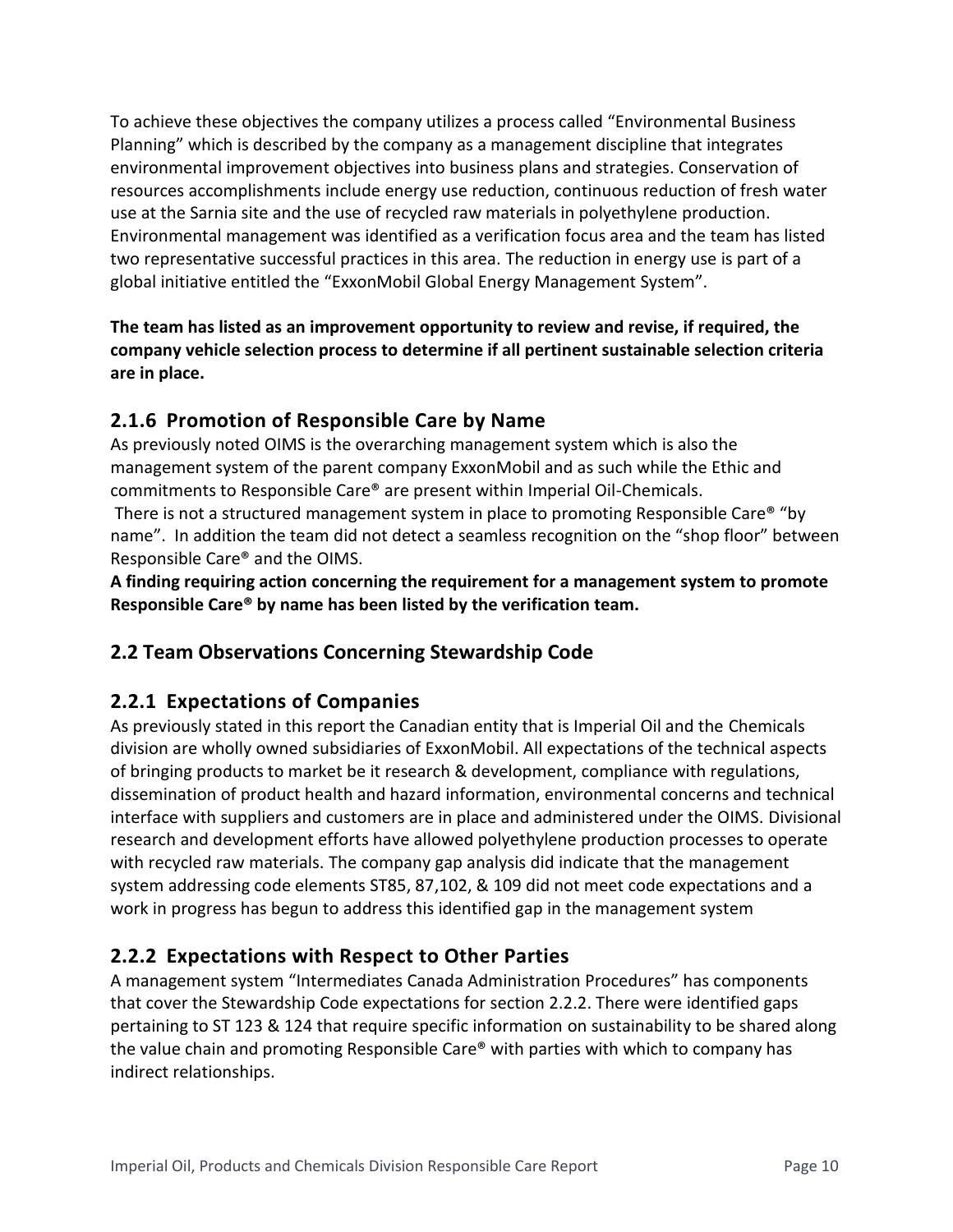To achieve these objectives the company utilizes a process called "Environmental Business Planning" which is described by the company as a management discipline that integrates environmental improvement objectives into business plans and strategies. Conservation of resources accomplishments include energy use reduction, continuous reduction of fresh water use at the Sarnia site and the use of recycled raw materials in polyethylene production. Environmental management was identified as a verification focus area and the team has listed two representative successful practices in this area. The reduction in energy use is part of a global initiative entitled the "ExxonMobil Global Energy Management System".

**The team has listed as an improvement opportunity to review and revise, if required, the company vehicle selection process to determine if all pertinent sustainable selection criteria are in place.** 

### **2.1.6 Promotion of Responsible Care by Name**

As previously noted OIMS is the overarching management system which is also the management system of the parent company ExxonMobil and as such while the Ethic and commitments to Responsible Care® are present within Imperial Oil-Chemicals.

There is not a structured management system in place to promoting Responsible Care® "by name". In addition the team did not detect a seamless recognition on the "shop floor" between Responsible Care® and the OIMS.

**A finding requiring action concerning the requirement for a management system to promote Responsible Care® by name has been listed by the verification team.** 

## **2.2 Team Observations Concerning Stewardship Code**

#### **2.2.1 Expectations of Companies**

As previously stated in this report the Canadian entity that is Imperial Oil and the Chemicals division are wholly owned subsidiaries of ExxonMobil. All expectations of the technical aspects of bringing products to market be it research & development, compliance with regulations, dissemination of product health and hazard information, environmental concerns and technical interface with suppliers and customers are in place and administered under the OIMS. Divisional research and development efforts have allowed polyethylene production processes to operate with recycled raw materials. The company gap analysis did indicate that the management system addressing code elements ST85, 87,102, & 109 did not meet code expectations and a work in progress has begun to address this identified gap in the management system

## **2.2.2 Expectations with Respect to Other Parties**

A management system "Intermediates Canada Administration Procedures" has components that cover the Stewardship Code expectations for section 2.2.2. There were identified gaps pertaining to ST 123 & 124 that require specific information on sustainability to be shared along the value chain and promoting Responsible Care® with parties with which to company has indirect relationships.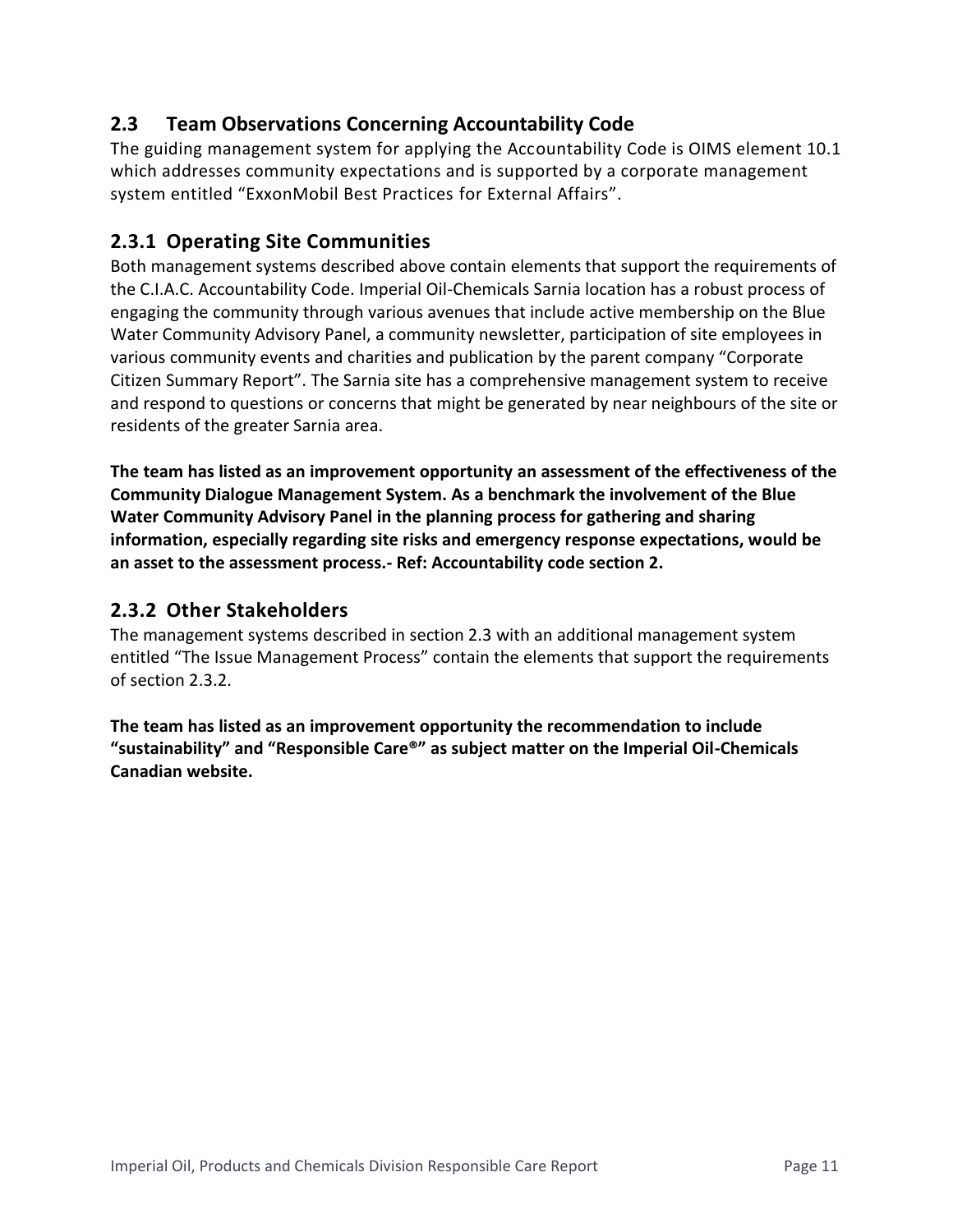#### **2.3 Team Observations Concerning Accountability Code**

The guiding management system for applying the Accountability Code is OIMS element 10.1 which addresses community expectations and is supported by a corporate management system entitled "ExxonMobil Best Practices for External Affairs".

### **2.3.1 Operating Site Communities**

Both management systems described above contain elements that support the requirements of the C.I.A.C. Accountability Code. Imperial Oil-Chemicals Sarnia location has a robust process of engaging the community through various avenues that include active membership on the Blue Water Community Advisory Panel, a community newsletter, participation of site employees in various community events and charities and publication by the parent company "Corporate Citizen Summary Report". The Sarnia site has a comprehensive management system to receive and respond to questions or concerns that might be generated by near neighbours of the site or residents of the greater Sarnia area.

**The team has listed as an improvement opportunity an assessment of the effectiveness of the Community Dialogue Management System. As a benchmark the involvement of the Blue Water Community Advisory Panel in the planning process for gathering and sharing information, especially regarding site risks and emergency response expectations, would be an asset to the assessment process.- Ref: Accountability code section 2.**

#### **2.3.2 Other Stakeholders**

The management systems described in section 2.3 with an additional management system entitled "The Issue Management Process" contain the elements that support the requirements of section 2.3.2.

**The team has listed as an improvement opportunity the recommendation to include "sustainability" and "Responsible Care®" as subject matter on the Imperial Oil-Chemicals Canadian website.**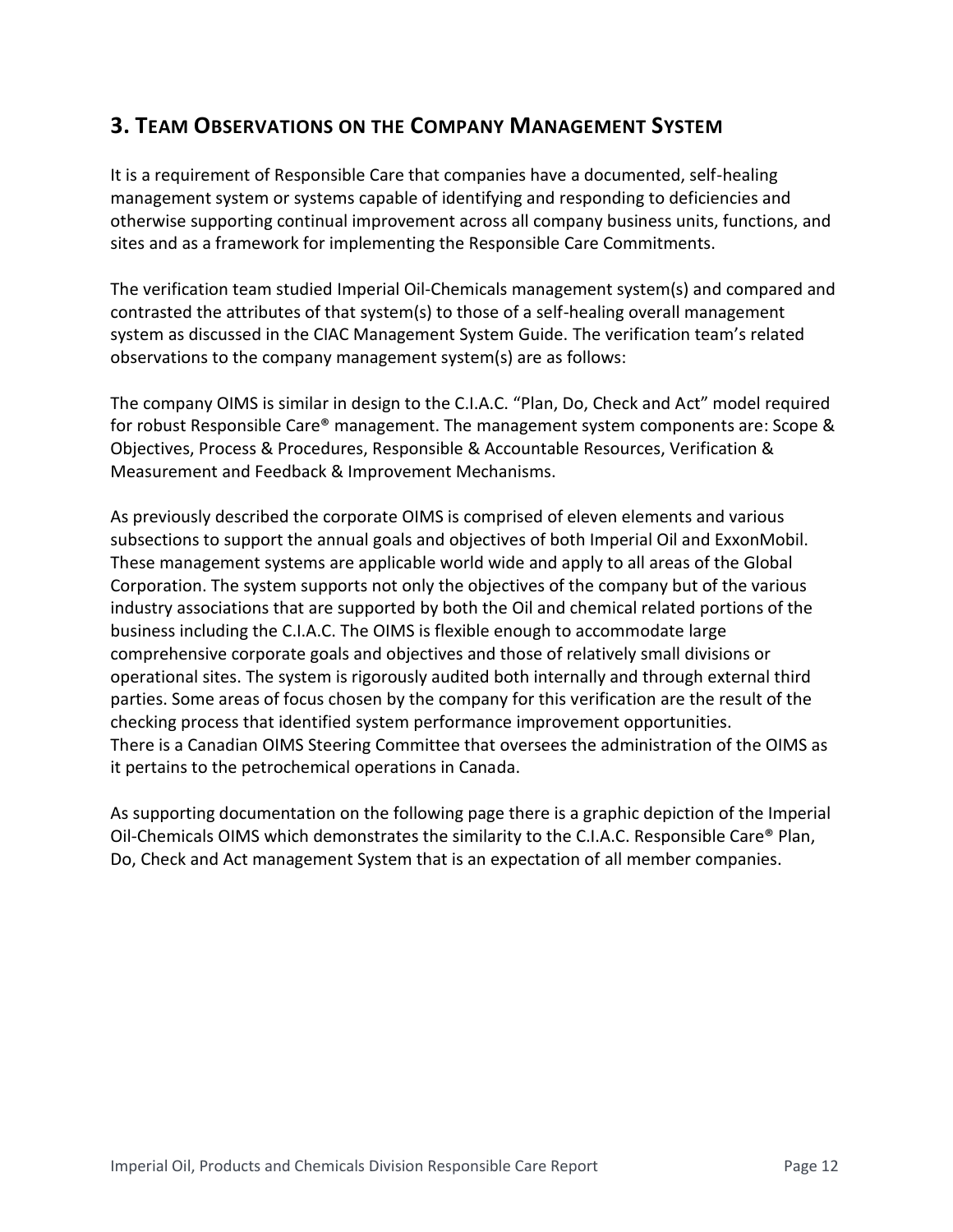## **3. TEAM OBSERVATIONS ON THE COMPANY MANAGEMENT SYSTEM**

It is a requirement of Responsible Care that companies have a documented, self-healing management system or systems capable of identifying and responding to deficiencies and otherwise supporting continual improvement across all company business units, functions, and sites and as a framework for implementing the Responsible Care Commitments.

The verification team studied Imperial Oil-Chemicals management system(s) and compared and contrasted the attributes of that system(s) to those of a self-healing overall management system as discussed in the CIAC Management System Guide. The verification team's related observations to the company management system(s) are as follows:

The company OIMS is similar in design to the C.I.A.C. "Plan, Do, Check and Act" model required for robust Responsible Care® management. The management system components are: Scope & Objectives, Process & Procedures, Responsible & Accountable Resources, Verification & Measurement and Feedback & Improvement Mechanisms.

As previously described the corporate OIMS is comprised of eleven elements and various subsections to support the annual goals and objectives of both Imperial Oil and ExxonMobil. These management systems are applicable world wide and apply to all areas of the Global Corporation. The system supports not only the objectives of the company but of the various industry associations that are supported by both the Oil and chemical related portions of the business including the C.I.A.C. The OIMS is flexible enough to accommodate large comprehensive corporate goals and objectives and those of relatively small divisions or operational sites. The system is rigorously audited both internally and through external third parties. Some areas of focus chosen by the company for this verification are the result of the checking process that identified system performance improvement opportunities. There is a Canadian OIMS Steering Committee that oversees the administration of the OIMS as it pertains to the petrochemical operations in Canada.

As supporting documentation on the following page there is a graphic depiction of the Imperial Oil-Chemicals OIMS which demonstrates the similarity to the C.I.A.C. Responsible Care® Plan, Do, Check and Act management System that is an expectation of all member companies.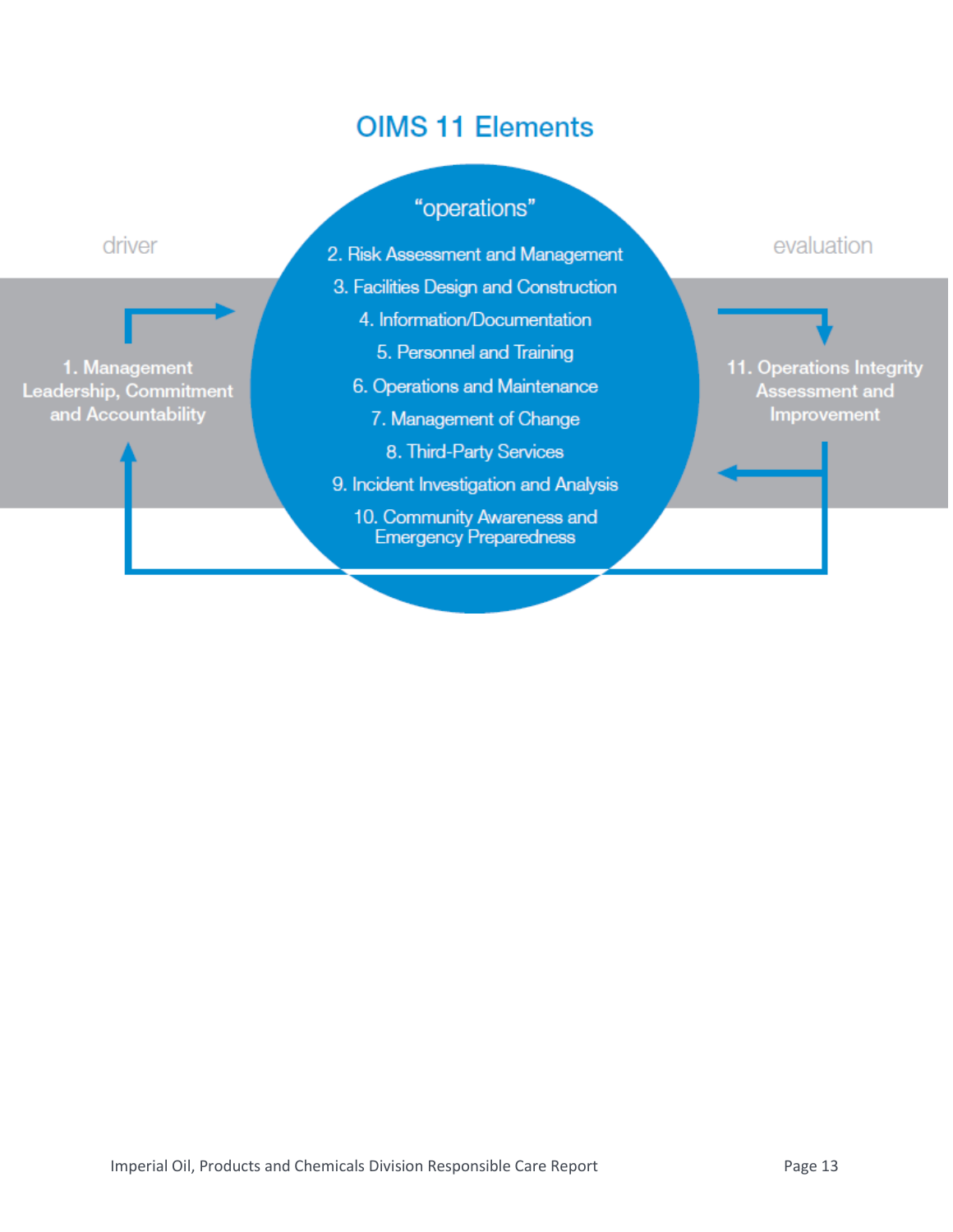# **OIMS 11 Elements**

# "operations"

- 2. Risk Assessment and Management
- 3. Facilities Design and Construction
	- 4. Information/Documentation
		- 5. Personnel and Training
	- 6. Operations and Maintenance
		- 7. Management of Change
			- 8. Third-Party Services
- 9. Incident Investigation and Analysis
	- 10. Community Awareness and **Emergency Preparedness**

evaluation

11. Operations Integrity Assessment and Improvement

# driver

1. Management Leadership, Commitment and Accountability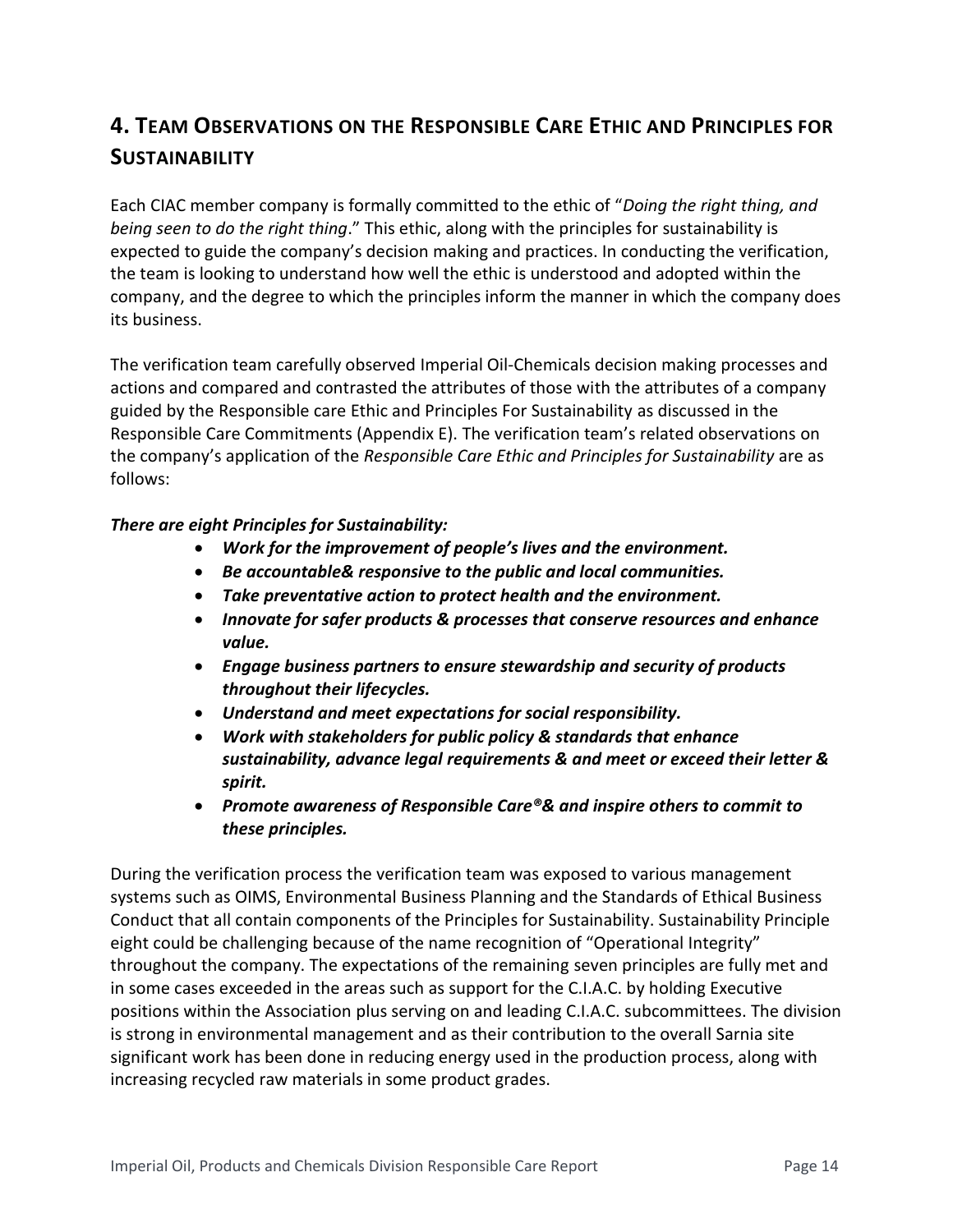# **4. TEAM OBSERVATIONS ON THE RESPONSIBLE CARE ETHIC AND PRINCIPLES FOR SUSTAINABILITY**

Each CIAC member company is formally committed to the ethic of "*Doing the right thing, and being seen to do the right thing*." This ethic, along with the principles for sustainability is expected to guide the company's decision making and practices. In conducting the verification, the team is looking to understand how well the ethic is understood and adopted within the company, and the degree to which the principles inform the manner in which the company does its business.

The verification team carefully observed Imperial Oil-Chemicals decision making processes and actions and compared and contrasted the attributes of those with the attributes of a company guided by the Responsible care Ethic and Principles For Sustainability as discussed in the Responsible Care Commitments (Appendix E). The verification team's related observations on the company's application of the *Responsible Care Ethic and Principles for Sustainability* are as follows:

#### *There are eight Principles for Sustainability:*

- *Work for the improvement of people's lives and the environment.*
- *Be accountable& responsive to the public and local communities.*
- *Take preventative action to protect health and the environment.*
- *Innovate for safer products & processes that conserve resources and enhance value.*
- *Engage business partners to ensure stewardship and security of products throughout their lifecycles.*
- *Understand and meet expectations for social responsibility.*
- *Work with stakeholders for public policy & standards that enhance sustainability, advance legal requirements & and meet or exceed their letter & spirit.*
- *Promote awareness of Responsible Care®& and inspire others to commit to these principles.*

During the verification process the verification team was exposed to various management systems such as OIMS, Environmental Business Planning and the Standards of Ethical Business Conduct that all contain components of the Principles for Sustainability. Sustainability Principle eight could be challenging because of the name recognition of "Operational Integrity" throughout the company. The expectations of the remaining seven principles are fully met and in some cases exceeded in the areas such as support for the C.I.A.C. by holding Executive positions within the Association plus serving on and leading C.I.A.C. subcommittees. The division is strong in environmental management and as their contribution to the overall Sarnia site significant work has been done in reducing energy used in the production process, along with increasing recycled raw materials in some product grades.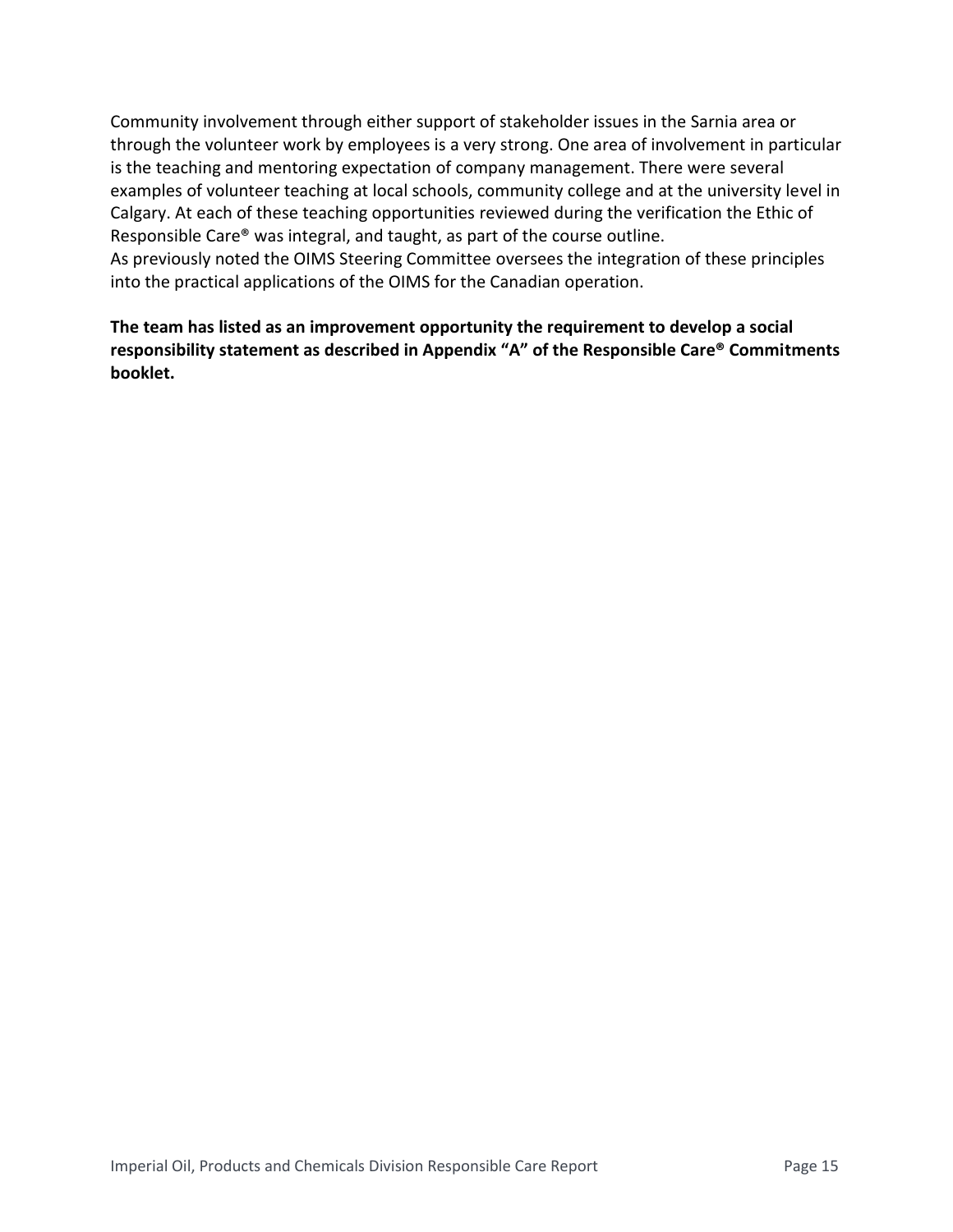Community involvement through either support of stakeholder issues in the Sarnia area or through the volunteer work by employees is a very strong. One area of involvement in particular is the teaching and mentoring expectation of company management. There were several examples of volunteer teaching at local schools, community college and at the university level in Calgary. At each of these teaching opportunities reviewed during the verification the Ethic of Responsible Care® was integral, and taught, as part of the course outline. As previously noted the OIMS Steering Committee oversees the integration of these principles into the practical applications of the OIMS for the Canadian operation.

**The team has listed as an improvement opportunity the requirement to develop a social responsibility statement as described in Appendix "A" of the Responsible Care® Commitments booklet.**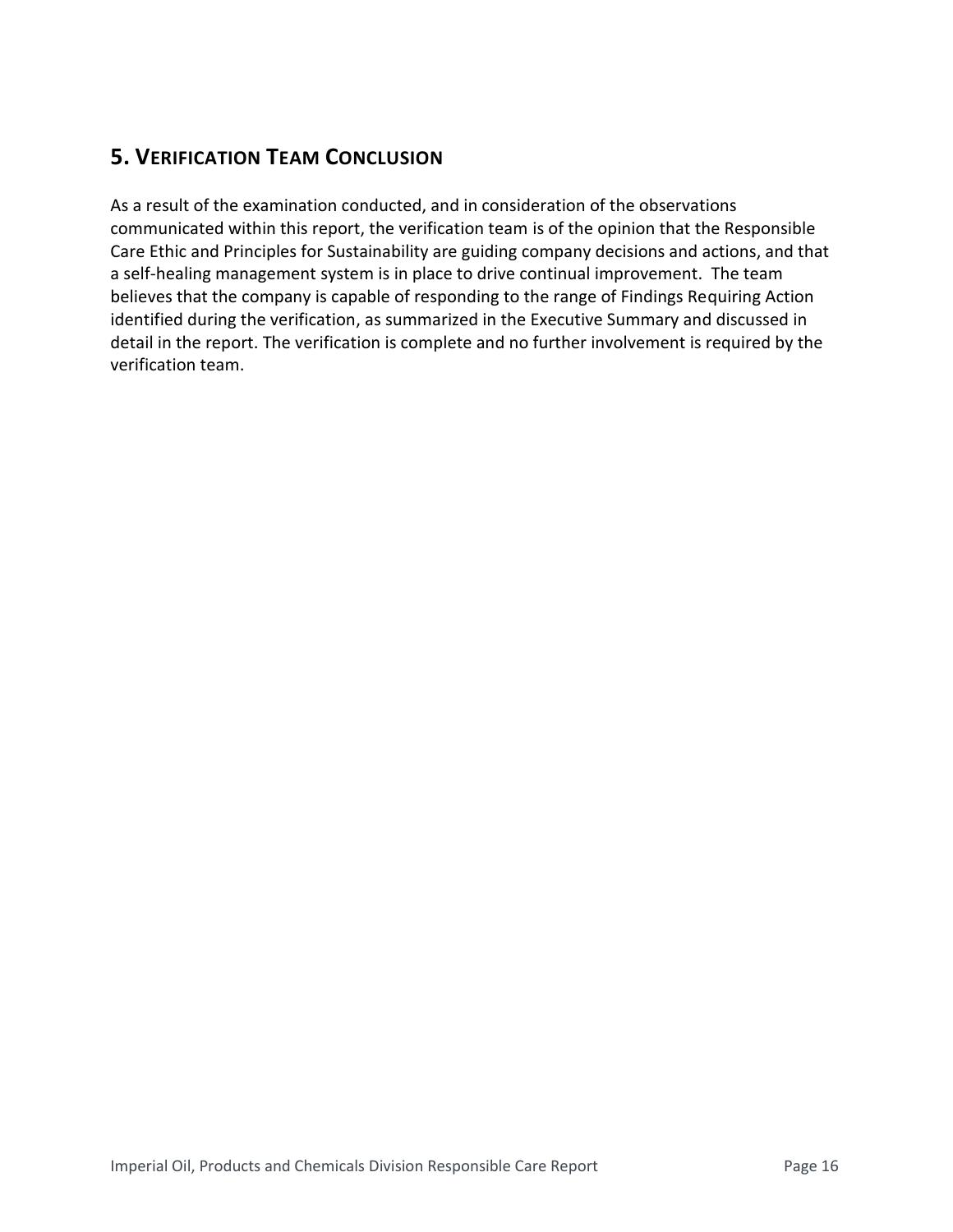## **5. VERIFICATION TEAM CONCLUSION**

As a result of the examination conducted, and in consideration of the observations communicated within this report, the verification team is of the opinion that the Responsible Care Ethic and Principles for Sustainability are guiding company decisions and actions, and that a self-healing management system is in place to drive continual improvement. The team believes that the company is capable of responding to the range of Findings Requiring Action identified during the verification, as summarized in the Executive Summary and discussed in detail in the report. The verification is complete and no further involvement is required by the verification team.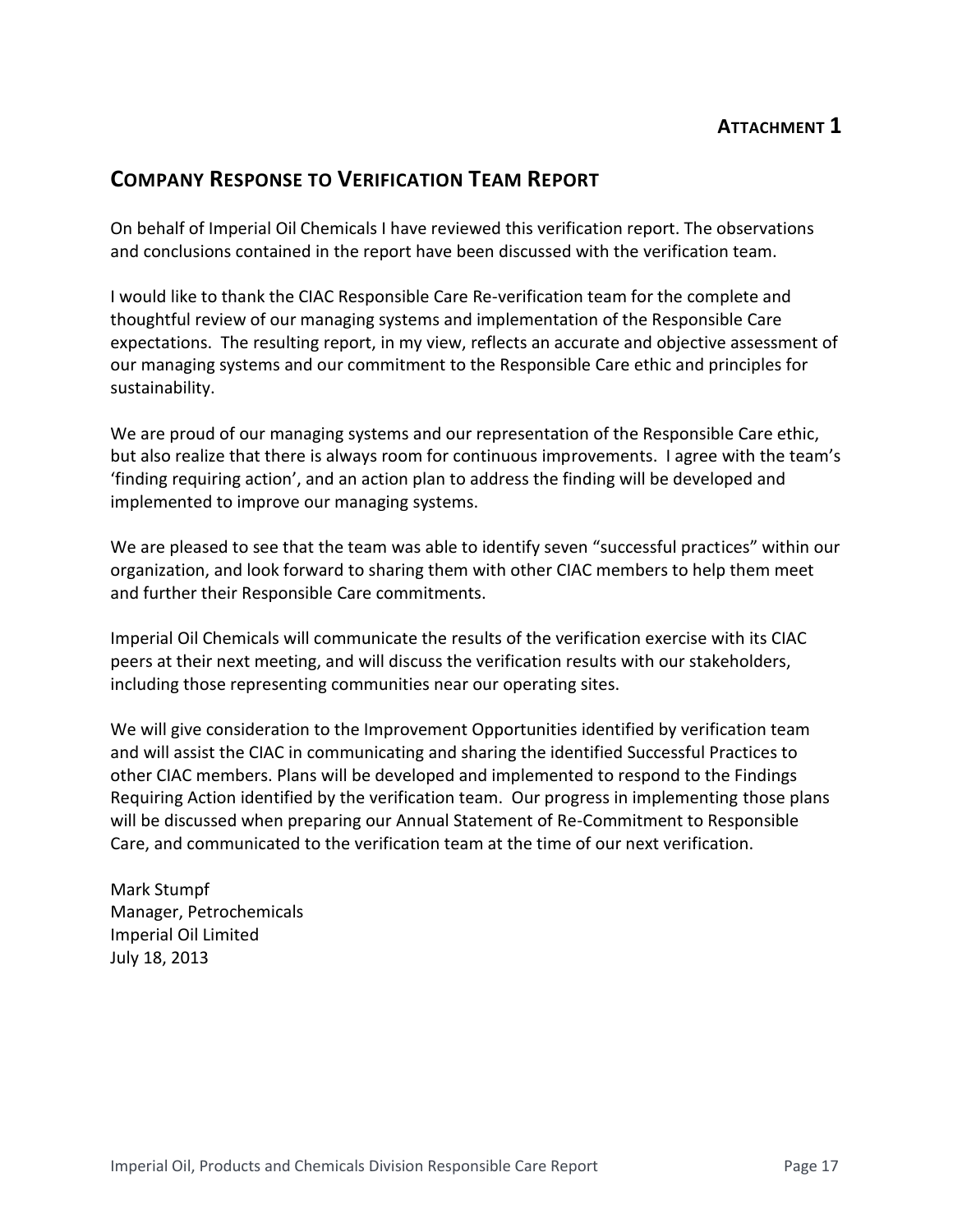### **COMPANY RESPONSE TO VERIFICATION TEAM REPORT**

On behalf of Imperial Oil Chemicals I have reviewed this verification report. The observations and conclusions contained in the report have been discussed with the verification team.

I would like to thank the CIAC Responsible Care Re-verification team for the complete and thoughtful review of our managing systems and implementation of the Responsible Care expectations. The resulting report, in my view, reflects an accurate and objective assessment of our managing systems and our commitment to the Responsible Care ethic and principles for sustainability.

We are proud of our managing systems and our representation of the Responsible Care ethic, but also realize that there is always room for continuous improvements. I agree with the team's 'finding requiring action', and an action plan to address the finding will be developed and implemented to improve our managing systems.

We are pleased to see that the team was able to identify seven "successful practices" within our organization, and look forward to sharing them with other CIAC members to help them meet and further their Responsible Care commitments.

Imperial Oil Chemicals will communicate the results of the verification exercise with its CIAC peers at their next meeting, and will discuss the verification results with our stakeholders, including those representing communities near our operating sites.

We will give consideration to the Improvement Opportunities identified by verification team and will assist the CIAC in communicating and sharing the identified Successful Practices to other CIAC members. Plans will be developed and implemented to respond to the Findings Requiring Action identified by the verification team. Our progress in implementing those plans will be discussed when preparing our Annual Statement of Re-Commitment to Responsible Care, and communicated to the verification team at the time of our next verification.

Mark Stumpf Manager, Petrochemicals Imperial Oil Limited July 18, 2013